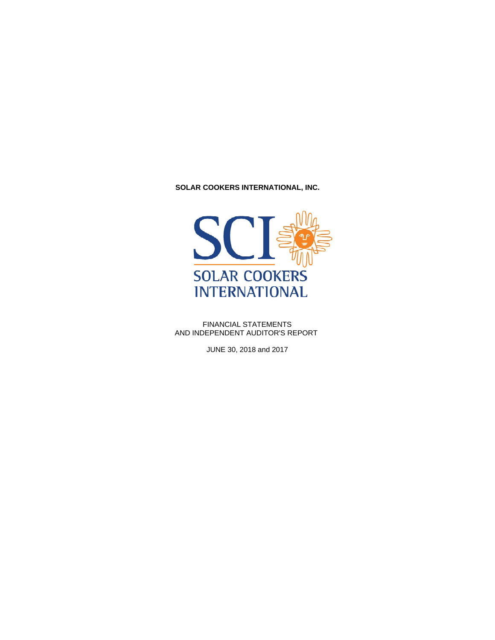

FINANCIAL STATEMENTS AND INDEPENDENT AUDITOR'S REPORT

JUNE 30, 2018 and 2017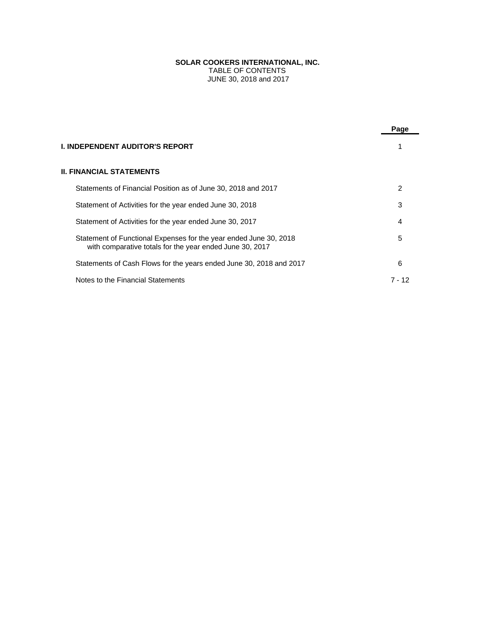## **SOLAR COOKERS INTERNATIONAL, INC.** TABLE OF CONTENTS JUNE 30, 2018 and 2017

|                                                                                                                               | Page     |
|-------------------------------------------------------------------------------------------------------------------------------|----------|
| I. INDEPENDENT AUDITOR'S REPORT                                                                                               |          |
| II. FINANCIAL STATEMENTS                                                                                                      |          |
| Statements of Financial Position as of June 30, 2018 and 2017                                                                 | 2        |
| Statement of Activities for the year ended June 30, 2018                                                                      | 3        |
| Statement of Activities for the year ended June 30, 2017                                                                      | 4        |
| Statement of Functional Expenses for the year ended June 30, 2018<br>with comparative totals for the year ended June 30, 2017 | 5        |
| Statements of Cash Flows for the years ended June 30, 2018 and 2017                                                           | 6        |
| Notes to the Financial Statements                                                                                             | $7 - 12$ |
|                                                                                                                               |          |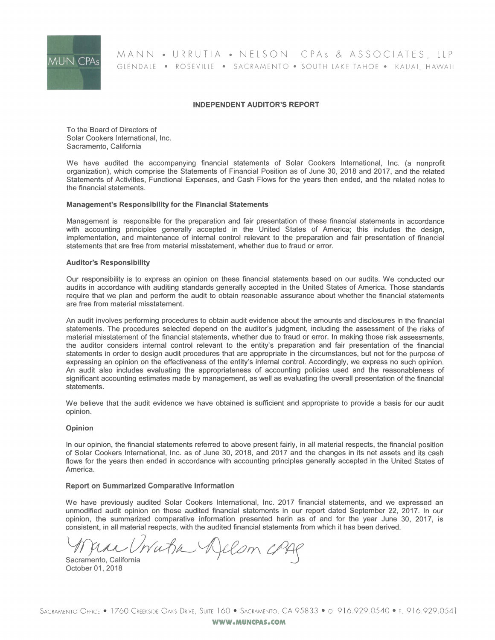

# MANN • URRUTIA • NELSON CPAs & ASSOCIATES, LLP GLENDALE . ROSEVILLE . SACRAMENTO . SOUTH LAKE TAHOE . KAUAI, HAWAII

## **INDEPENDENT AUDITOR'S REPORT**

To the Board of Directors of Solar Cookers International, Inc. Sacramento, California

We have audited the accompanying financial statements of Solar Cookers International, Inc. (a nonprofit organization), which comprise the Statements of Financial Position as of June 30, 2018 and 2017, and the related Statements of Activities, Functional Expenses, and Cash Flows for the years then ended, and the related notes to the financial statements.

## **Management's Responsibility for the Financial Statements**

Management is responsible for the preparation and fair presentation of these financial statements in accordance with accounting principles generally accepted in the United States of America; this includes the design, implementation, and maintenance of internal control relevant to the preparation and fair presentation of financial statements that are free from material misstatement, whether due to fraud or error.

## **Auditor's Responsibility**

Our responsibility is to express an opinion on these financial statements based on our audits. We conducted our audits in accordance with auditing standards generally accepted in the United States of America. Those standards require that we plan and perform the audit to obtain reasonable assurance about whether the financial statements are free from material misstatement.

An audit involves performing procedures to obtain audit evidence about the amounts and disclosures in the financial statements. The procedures selected depend on the auditor's judgment, including the assessment of the risks of material misstatement of the financial statements, whether due to fraud or error. In making those risk assessments, the auditor considers internal control relevant to the entity's preparation and fair presentation of the financial statements in order to design audit procedures that are appropriate in the circumstances, but not for the purpose of expressing an opinion on the effectiveness of the entity's internal control. Accordingly, we express no such opinion. An audit also includes evaluating the appropriateness of accounting policies used and the reasonableness of significant accounting estimates made by management, as well as evaluating the overall presentation of the financial statements.

We believe that the audit evidence we have obtained is sufficient and appropriate to provide a basis for our audit opinion.

## Opinion

In our opinion, the financial statements referred to above present fairly, in all material respects, the financial position of Solar Cookers International, Inc. as of June 30, 2018, and 2017 and the changes in its net assets and its cash flows for the years then ended in accordance with accounting principles generally accepted in the United States of America.

## **Report on Summarized Comparative Information**

We have previously audited Solar Cookers International, Inc. 2017 financial statements, and we expressed an unmodified audit opinion on those audited financial statements in our report dated September 22, 2017. In our opinion, the summarized comparative information presented herin as of and for the year June 30, 2017, is consistent, in all material respects, with the audited financial statements from which it has been derived.

-Unata Ajelom CPAP Sacramento, California

October 01, 2018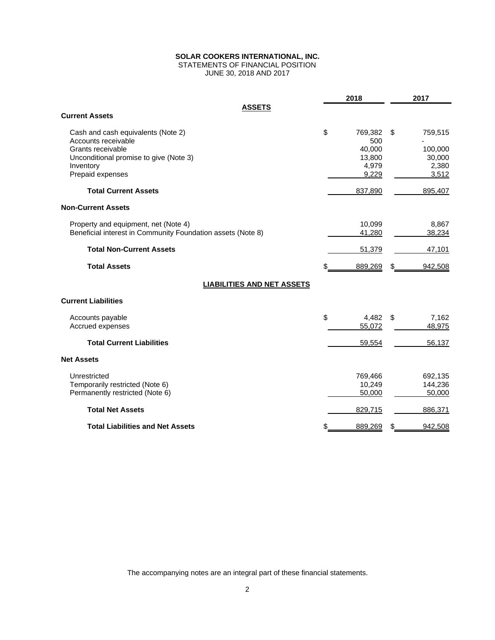STATEMENTS OF FINANCIAL POSITION

JUNE 30, 2018 AND 2017

|                                                             | 2018                 |    | 2017    |
|-------------------------------------------------------------|----------------------|----|---------|
| <b>ASSETS</b>                                               |                      |    |         |
| <b>Current Assets</b>                                       |                      |    |         |
| Cash and cash equivalents (Note 2)<br>Accounts receivable   | \$<br>769,382<br>500 | \$ | 759,515 |
| Grants receivable                                           | 40.000               |    | 100,000 |
| Unconditional promise to give (Note 3)                      | 13,800               |    | 30,000  |
| Inventory                                                   | 4,979                |    | 2,380   |
| Prepaid expenses                                            | 9,229                |    | 3,512   |
| <b>Total Current Assets</b>                                 | 837,890              |    | 895,407 |
| <b>Non-Current Assets</b>                                   |                      |    |         |
| Property and equipment, net (Note 4)                        | 10,099               |    | 8,867   |
| Beneficial interest in Community Foundation assets (Note 8) | 41,280               |    | 38,234  |
| <b>Total Non-Current Assets</b>                             | 51,379               |    | 47,101  |
| <b>Total Assets</b>                                         | 889,269              | \$ | 942,508 |
| <b>LIABILITIES AND NET ASSETS</b>                           |                      |    |         |
| <b>Current Liabilities</b>                                  |                      |    |         |
| Accounts payable                                            | \$<br>4,482          | \$ | 7,162   |
| Accrued expenses                                            | 55,072               |    | 48,975  |
| <b>Total Current Liabilities</b>                            | 59,554               |    | 56,137  |
| <b>Net Assets</b>                                           |                      |    |         |
| Unrestricted                                                | 769,466              |    | 692,135 |
| Temporarily restricted (Note 6)                             | 10,249               |    | 144,236 |
| Permanently restricted (Note 6)                             | 50,000               |    | 50,000  |
| <b>Total Net Assets</b>                                     | 829,715              |    | 886,371 |
| <b>Total Liabilities and Net Assets</b>                     | 889,269              | S  | 942,508 |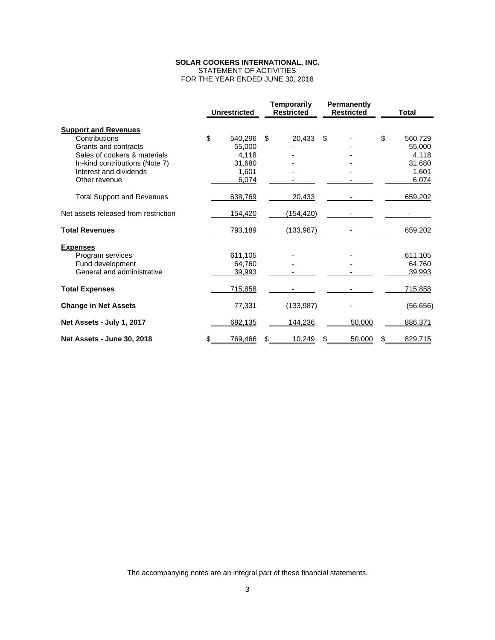STATEMENT OF ACTIVITIES FOR THE YEAR ENDED JUNE 30, 2018

|                                      | <b>Unrestricted</b> |               | <b>Temporarily</b><br><b>Restricted</b> | <b>Permanently</b><br><b>Restricted</b> |    | <b>Total</b> |               |
|--------------------------------------|---------------------|---------------|-----------------------------------------|-----------------------------------------|----|--------------|---------------|
| <b>Support and Revenues</b>          |                     |               |                                         |                                         |    |              |               |
| Contributions                        | \$                  | 540,296       | \$                                      | 20,433                                  | \$ |              | \$<br>560,729 |
| Grants and contracts                 |                     | 55.000        |                                         |                                         |    |              | 55,000        |
| Sales of cookers & materials         |                     | 4,118         |                                         |                                         |    |              | 4,118         |
| In-kind contributions (Note 7)       |                     | 31.680        |                                         |                                         |    |              | 31,680        |
| Interest and dividends               |                     | 1.601         |                                         |                                         |    |              | 1,601         |
| Other revenue                        |                     | 6,074         |                                         |                                         |    |              | 6,074         |
| <b>Total Support and Revenues</b>    |                     | 638,769       |                                         | 20,433                                  |    |              | 659,202       |
| Net assets released from restriction |                     | 154,420       |                                         | (154, 420)                              |    |              |               |
| <b>Total Revenues</b>                |                     | 793,189       |                                         | (133, 987)                              |    |              | 659,202       |
| <b>Expenses</b>                      |                     |               |                                         |                                         |    |              |               |
| Program services                     |                     | 611.105       |                                         |                                         |    |              | 611,105       |
| Fund development                     |                     | 64,760        |                                         |                                         |    |              | 64,760        |
| General and administrative           |                     | <u>39,993</u> |                                         |                                         |    |              | 39,993        |
| <b>Total Expenses</b>                |                     | 715,858       |                                         |                                         |    |              | 715,858       |
| <b>Change in Net Assets</b>          |                     | 77,331        |                                         | (133,987)                               |    |              | (56, 656)     |
| Net Assets - July 1, 2017            |                     | 692,135       |                                         | 144,236                                 |    | 50,000       | 886,371       |
| Net Assets - June 30, 2018           |                     | 769,466       |                                         | 10,249                                  |    | 50,000       | 829,715       |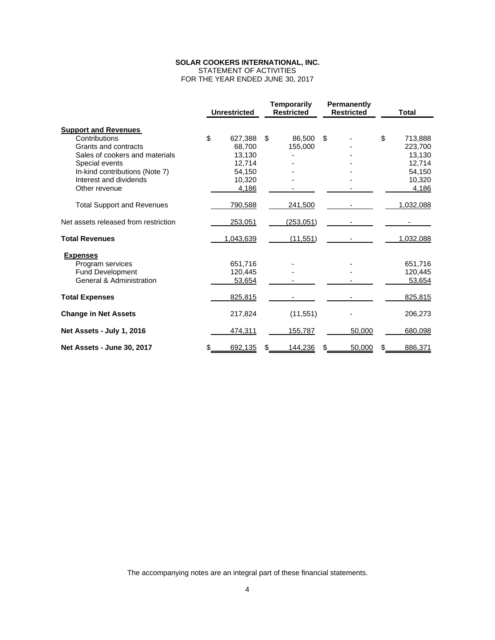STATEMENT OF ACTIVITIES FOR THE YEAR ENDED JUNE 30, 2017

|                                      |    | <b>Unrestricted</b> |    | Temporarily<br><b>Restricted</b> |    | Permanently<br><b>Restricted</b> |               | <b>Total</b> |
|--------------------------------------|----|---------------------|----|----------------------------------|----|----------------------------------|---------------|--------------|
| <b>Support and Revenues</b>          |    |                     |    |                                  |    |                                  |               |              |
| Contributions                        | \$ | 627.388             | \$ | 86.500                           | \$ |                                  | \$<br>713,888 |              |
| Grants and contracts                 |    | 68,700              |    | 155,000                          |    |                                  | 223,700       |              |
| Sales of cookers and materials       |    | 13,130              |    |                                  |    |                                  | 13,130        |              |
| Special events                       |    | 12,714              |    |                                  |    |                                  | 12,714        |              |
| In-kind contributions (Note 7)       |    | 54,150              |    |                                  |    |                                  | 54,150        |              |
| Interest and dividends               |    | 10,320              |    |                                  |    |                                  | 10,320        |              |
| Other revenue                        |    | 4,186               |    |                                  |    |                                  | 4,186         |              |
| <b>Total Support and Revenues</b>    |    | 790,588             |    | 241,500                          |    |                                  | 1,032,088     |              |
| Net assets released from restriction |    | 253,051             |    | (253, 051)                       |    |                                  |               |              |
| <b>Total Revenues</b>                |    | 1,043,639           |    | (11, 551)                        |    |                                  | 1,032,088     |              |
| <b>Expenses</b>                      |    |                     |    |                                  |    |                                  |               |              |
| Program services                     |    | 651,716             |    |                                  |    |                                  | 651,716       |              |
| Fund Development                     |    | 120.445             |    |                                  |    |                                  | 120.445       |              |
| General & Administration             |    | 53,654              |    |                                  |    |                                  | 53,654        |              |
| <b>Total Expenses</b>                |    | 825,815             |    |                                  |    |                                  | 825,815       |              |
| <b>Change in Net Assets</b>          |    | 217,824             |    | (11, 551)                        |    |                                  | 206,273       |              |
| Net Assets - July 1, 2016            |    | 474,311             |    | 155,787                          |    | 50,000                           | 680,098       |              |
| Net Assets - June 30, 2017           | S  | 692,135             | S  | 144,236                          | \$ | 50,000                           | \$<br>886,371 |              |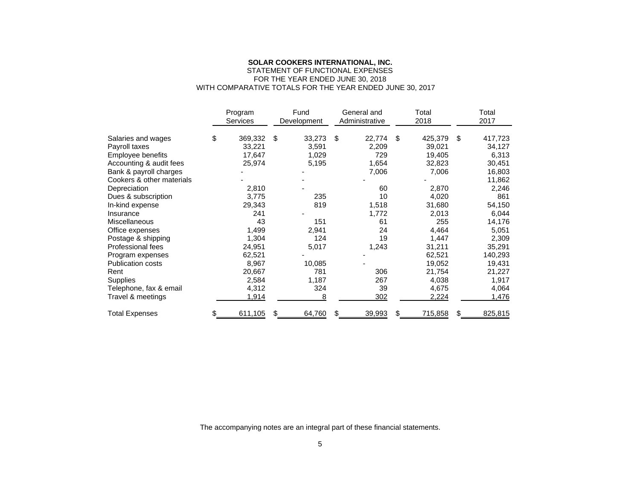## STATEMENT OF FUNCTIONAL EXPENSES FOR THE YEAR ENDED JUNE 30, 2018 WITH COMPARATIVE TOTALS FOR THE YEAR ENDED JUNE 30, 2017

|                           | Program<br>Services | Fund<br><b>Development</b> |     | General and<br>Administrative | Total<br>2018 |     | Total<br>2017 |
|---------------------------|---------------------|----------------------------|-----|-------------------------------|---------------|-----|---------------|
| Salaries and wages        | \$<br>369,332       | \$<br>33,273               | \$  | 22,774                        | \$<br>425,379 | \$  | 417,723       |
| Payroll taxes             | 33,221              | 3,591                      |     | 2,209                         | 39,021        |     | 34,127        |
| Employee benefits         | 17,647              | 1,029                      |     | 729                           | 19,405        |     | 6,313         |
| Accounting & audit fees   | 25,974              | 5,195                      |     | 1,654                         | 32,823        |     | 30,451        |
| Bank & payroll charges    |                     |                            |     | 7,006                         | 7,006         |     | 16,803        |
| Cookers & other materials |                     |                            |     |                               |               |     | 11,862        |
| Depreciation              | 2,810               |                            |     | 60                            | 2,870         |     | 2,246         |
| Dues & subscription       | 3,775               | 235                        |     | 10                            | 4,020         |     | 861           |
| In-kind expense           | 29,343              | 819                        |     | 1,518                         | 31,680        |     | 54,150        |
| Insurance                 | 241                 |                            |     | 1,772                         | 2,013         |     | 6,044         |
| Miscellaneous             | 43                  | 151                        |     | 61                            | 255           |     | 14,176        |
| Office expenses           | 1,499               | 2,941                      |     | 24                            | 4,464         |     | 5,051         |
| Postage & shipping        | 1,304               | 124                        |     | 19                            | 1,447         |     | 2,309         |
| Professional fees         | 24,951              | 5,017                      |     | 1,243                         | 31,211        |     | 35,291        |
| Program expenses          | 62,521              |                            |     |                               | 62,521        |     | 140,293       |
| <b>Publication costs</b>  | 8,967               | 10,085                     |     |                               | 19,052        |     | 19,431        |
| Rent                      | 20,667              | 781                        |     | 306                           | 21,754        |     | 21,227        |
| <b>Supplies</b>           | 2,584               | 1,187                      |     | 267                           | 4,038         |     | 1,917         |
| Telephone, fax & email    | 4,312               | 324                        |     | 39                            | 4,675         |     | 4,064         |
| Travel & meetings         | 1,914               | 8                          |     | <u>302</u>                    | 2,224         |     | 1,476         |
| <b>Total Expenses</b>     | 611,105             | 64,760                     | \$. | 39,993                        | 715,858       | \$. | 825,815       |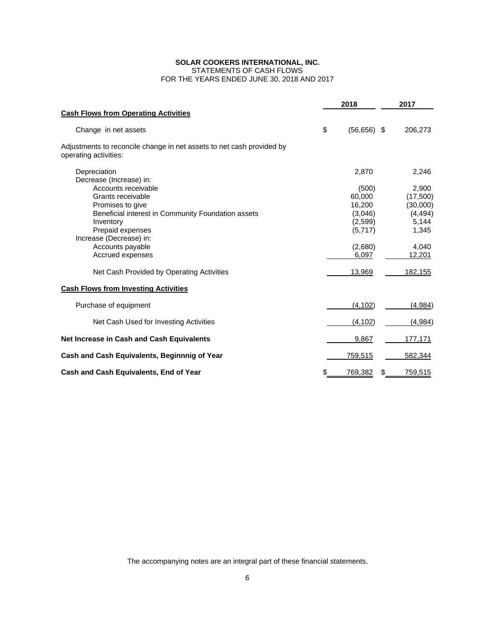STATEMENTS OF CASH FLOWS FOR THE YEARS ENDED JUNE 30, 2018 AND 2017

|                                                                                                                                                                                                                                                                                                | 2018 |                                                                                          | 2017                                                                                      |  |
|------------------------------------------------------------------------------------------------------------------------------------------------------------------------------------------------------------------------------------------------------------------------------------------------|------|------------------------------------------------------------------------------------------|-------------------------------------------------------------------------------------------|--|
| <b>Cash Flows from Operating Activities</b>                                                                                                                                                                                                                                                    |      |                                                                                          |                                                                                           |  |
| Change in net assets                                                                                                                                                                                                                                                                           | \$   | $(56,656)$ \$                                                                            | 206,273                                                                                   |  |
| Adjustments to reconcile change in net assets to net cash provided by<br>operating activities:                                                                                                                                                                                                 |      |                                                                                          |                                                                                           |  |
| Depreciation                                                                                                                                                                                                                                                                                   |      | 2,870                                                                                    | 2,246                                                                                     |  |
| Decrease (Increase) in:<br>Accounts receivable<br>Grants receivable<br>Promises to give<br>Beneficial interest in Community Foundation assets<br>Inventory<br>Prepaid expenses<br>Increase (Decrease) in:<br>Accounts payable<br>Accrued expenses<br>Net Cash Provided by Operating Activities |      | (500)<br>60,000<br>16.200<br>(3,046)<br>(2,599)<br>(5,717)<br>(2,680)<br>6,097<br>13,969 | 2,900<br>(17,500)<br>(30,000)<br>(4, 494)<br>5,144<br>1,345<br>4,040<br>12,201<br>182,155 |  |
| <b>Cash Flows from Investing Activities</b>                                                                                                                                                                                                                                                    |      |                                                                                          |                                                                                           |  |
| Purchase of equipment                                                                                                                                                                                                                                                                          |      | (4, 102)                                                                                 | (4,984)                                                                                   |  |
| Net Cash Used for Investing Activities                                                                                                                                                                                                                                                         |      | (4, 102)                                                                                 | (4,984)                                                                                   |  |
| Net Increase in Cash and Cash Equivalents                                                                                                                                                                                                                                                      |      | 9,867                                                                                    | 177,171                                                                                   |  |
| Cash and Cash Equivalents, Beginnnig of Year                                                                                                                                                                                                                                                   |      | 759,515                                                                                  | 582,344                                                                                   |  |
| <b>Cash and Cash Equivalents, End of Year</b>                                                                                                                                                                                                                                                  |      | 769,382                                                                                  | 759,515                                                                                   |  |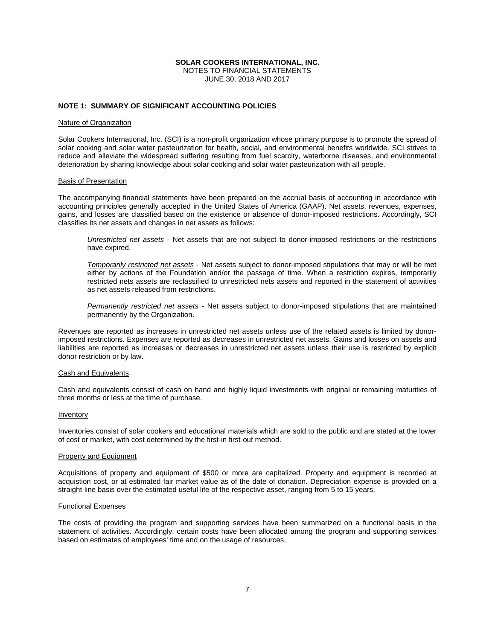NOTES TO FINANCIAL STATEMENTS JUNE 30, 2018 AND 2017

## **NOTE 1: SUMMARY OF SIGNIFICANT ACCOUNTING POLICIES**

#### Nature of Organization

Solar Cookers International, Inc. (SCI) is a non-profit organization whose primary purpose is to promote the spread of solar cooking and solar water pasteurization for health, social, and environmental benefits worldwide. SCI strives to reduce and alleviate the widespread suffering resulting from fuel scarcity, waterborne diseases, and environmental deterioration by sharing knowledge about solar cooking and solar water pasteurization with all people.

#### Basis of Presentation

The accompanying financial statements have been prepared on the accrual basis of accounting in accordance with accounting principles generally accepted in the United States of America (GAAP). Net assets, revenues, expenses, gains, and losses are classified based on the existence or absence of donor-imposed restrictions. Accordingly, SCI classifies its net assets and changes in net assets as follows:

*Unrestricted net assets* - Net assets that are not subject to donor-imposed restrictions or the restrictions have expired.

*Temporarily restricted net assets* - Net assets subject to donor-imposed stipulations that may or will be met either by actions of the Foundation and/or the passage of time. When a restriction expires, temporarily restricted nets assets are reclassified to unrestricted nets assets and reported in the statement of activities as net assets released from restrictions.

*Permanently restricted net assets* - Net assets subject to donor-imposed stipulations that are maintained permanently by the Organization.

Revenues are reported as increases in unrestricted net assets unless use of the related assets is limited by donorimposed restrictions. Expenses are reported as decreases in unrestricted net assets. Gains and losses on assets and liabilities are reported as increases or decreases in unrestricted net assets unless their use is restricted by explicit donor restriction or by law.

#### Cash and Equivalents

Cash and equivalents consist of cash on hand and highly liquid investments with original or remaining maturities of three months or less at the time of purchase.

## Inventory

Inventories consist of solar cookers and educational materials which are sold to the public and are stated at the lower of cost or market, with cost determined by the first-in first-out method.

#### Property and Equipment

Acquisitions of property and equipment of \$500 or more are capitalized. Property and equipment is recorded at acquistion cost, or at estimated fair market value as of the date of donation. Depreciation expense is provided on a straight-line basis over the estimated useful life of the respective asset, ranging from 5 to 15 years.

#### Functional Expenses

The costs of providing the program and supporting services have been summarized on a functional basis in the statement of activities. Accordingly, certain costs have been allocated among the program and supporting services based on estimates of employees' time and on the usage of resources.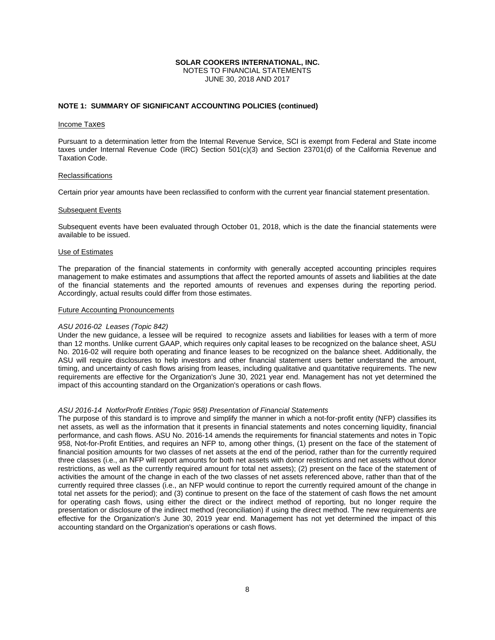NOTES TO FINANCIAL STATEMENTS JUNE 30, 2018 AND 2017

## **NOTE 1: SUMMARY OF SIGNIFICANT ACCOUNTING POLICIES (continued)**

#### Income Taxes

Pursuant to a determination letter from the Internal Revenue Service, SCI is exempt from Federal and State income taxes under Internal Revenue Code (IRC) Section 501(c)(3) and Section 23701(d) of the California Revenue and Taxation Code.

#### **Reclassifications**

Certain prior year amounts have been reclassified to conform with the current year financial statement presentation.

#### Subsequent Events

Subsequent events have been evaluated through October 01, 2018, which is the date the financial statements were available to be issued.

#### Use of Estimates

The preparation of the financial statements in conformity with generally accepted accounting principles requires management to make estimates and assumptions that affect the reported amounts of assets and liabilities at the date of the financial statements and the reported amounts of revenues and expenses during the reporting period. Accordingly, actual results could differ from those estimates.

#### Future Accounting Pronouncements

#### *ASU 2016-02 Leases (Topic 842)*

Under the new guidance, a lessee will be required to recognize assets and liabilities for leases with a term of more than 12 months. Unlike current GAAP, which requires only capital leases to be recognized on the balance sheet, ASU No. 2016-02 will require both operating and finance leases to be recognized on the balance sheet. Additionally, the ASU will require disclosures to help investors and other financial statement users better understand the amount, timing, and uncertainty of cash flows arising from leases, including qualitative and quantitative requirements. The new requirements are effective for the Organization's June 30, 2021 year end. Management has not yet determined the impact of this accounting standard on the Organization's operations or cash flows.

#### *ASU 2016-14 NotforProfit Entities (Topic 958) Presentation of Financial Statements*

The purpose of this standard is to improve and simplify the manner in which a not-for-profit entity (NFP) classifies its net assets, as well as the information that it presents in financial statements and notes concerning liquidity, financial performance, and cash flows. ASU No. 2016-14 amends the requirements for financial statements and notes in Topic 958, Not-for-Profit Entities, and requires an NFP to, among other things, (1) present on the face of the statement of financial position amounts for two classes of net assets at the end of the period, rather than for the currently required three classes (i.e., an NFP will report amounts for both net assets with donor restrictions and net assets without donor restrictions, as well as the currently required amount for total net assets); (2) present on the face of the statement of activities the amount of the change in each of the two classes of net assets referenced above, rather than that of the currently required three classes (i.e., an NFP would continue to report the currently required amount of the change in total net assets for the period); and (3) continue to present on the face of the statement of cash flows the net amount for operating cash flows, using either the direct or the indirect method of reporting, but no longer require the presentation or disclosure of the indirect method (reconciliation) if using the direct method. The new requirements are effective for the Organization's June 30, 2019 year end. Management has not yet determined the impact of this accounting standard on the Organization's operations or cash flows.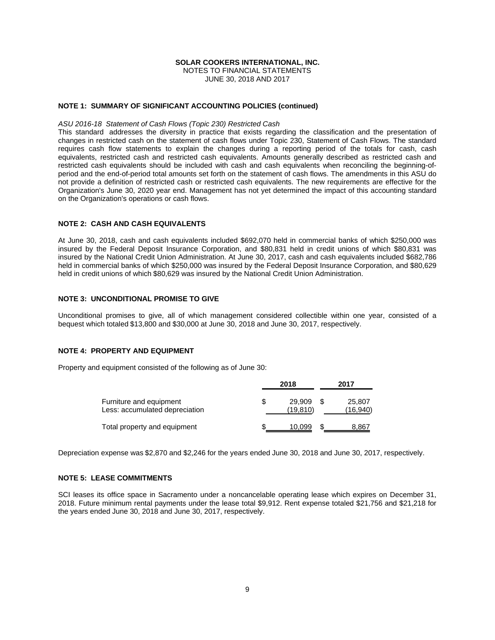NOTES TO FINANCIAL STATEMENTS JUNE 30, 2018 AND 2017

## **NOTE 1: SUMMARY OF SIGNIFICANT ACCOUNTING POLICIES (continued)**

#### *ASU 2016-18 Statement of Cash Flows (Topic 230) Restricted Cash*

This standard addresses the diversity in practice that exists regarding the classification and the presentation of changes in restricted cash on the statement of cash flows under Topic 230, Statement of Cash Flows. The standard requires cash flow statements to explain the changes during a reporting period of the totals for cash, cash equivalents, restricted cash and restricted cash equivalents. Amounts generally described as restricted cash and restricted cash equivalents should be included with cash and cash equivalents when reconciling the beginning-ofperiod and the end-of-period total amounts set forth on the statement of cash flows. The amendments in this ASU do not provide a definition of restricted cash or restricted cash equivalents. The new requirements are effective for the Organization's June 30, 2020 year end. Management has not yet determined the impact of this accounting standard on the Organization's operations or cash flows.

#### **NOTE 2: CASH AND CASH EQUIVALENTS**

At June 30, 2018, cash and cash equivalents included \$692,070 held in commercial banks of which \$250,000 was insured by the Federal Deposit Insurance Corporation, and \$80,831 held in credit unions of which \$80,831 was insured by the National Credit Union Administration. At June 30, 2017, cash and cash equivalents included \$682,786 held in commercial banks of which \$250,000 was insured by the Federal Deposit Insurance Corporation, and \$80,629 held in credit unions of which \$80,629 was insured by the National Credit Union Administration.

#### **NOTE 3: UNCONDITIONAL PROMISE TO GIVE**

Unconditional promises to give, all of which management considered collectible within one year, consisted of a bequest which totaled \$13,800 and \$30,000 at June 30, 2018 and June 30, 2017, respectively.

## **NOTE 4: PROPERTY AND EQUIPMENT**

Property and equipment consisted of the following as of June 30:

|                                                           | 2018               | 2017               |  |  |  |
|-----------------------------------------------------------|--------------------|--------------------|--|--|--|
| Furniture and equipment<br>Less: accumulated depreciation | 29.909<br>(19.810) | 25,807<br>(16.940) |  |  |  |
| Total property and equipment                              | 10.099             | 8,867              |  |  |  |

Depreciation expense was \$2,870 and \$2,246 for the years ended June 30, 2018 and June 30, 2017, respectively.

#### **NOTE 5: LEASE COMMITMENTS**

SCI leases its office space in Sacramento under a noncancelable operating lease which expires on December 31, 2018. Future minimum rental payments under the lease total \$9,912. Rent expense totaled \$21,756 and \$21,218 for the years ended June 30, 2018 and June 30, 2017, respectively.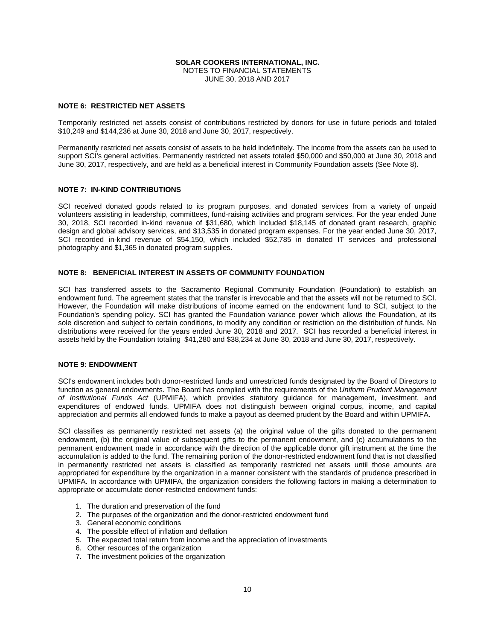#### **SOLAR COOKERS INTERNATIONAL, INC.** NOTES TO FINANCIAL STATEMENTS JUNE 30, 2018 AND 2017

## **NOTE 6: RESTRICTED NET ASSETS**

Temporarily restricted net assets consist of contributions restricted by donors for use in future periods and totaled \$10,249 and \$144,236 at June 30, 2018 and June 30, 2017, respectively.

Permanently restricted net assets consist of assets to be held indefinitely. The income from the assets can be used to support SCI's general activities. Permanently restricted net assets totaled \$50,000 and \$50,000 at June 30, 2018 and June 30, 2017, respectively, and are held as a beneficial interest in Community Foundation assets (See Note 8).

## **NOTE 7: IN-KIND CONTRIBUTIONS**

SCI received donated goods related to its program purposes, and donated services from a variety of unpaid volunteers assisting in leadership, committees, fund-raising activities and program services. For the year ended June 30, 2018, SCI recorded in-kind revenue of \$31,680, which included \$18,145 of donated grant research, graphic design and global advisory services, and \$13,535 in donated program expenses. For the year ended June 30, 2017, SCI recorded in-kind revenue of \$54,150, which included \$52,785 in donated IT services and professional photography and \$1,365 in donated program supplies.

## **NOTE 8: BENEFICIAL INTEREST IN ASSETS OF COMMUNITY FOUNDATION**

SCI has transferred assets to the Sacramento Regional Community Foundation (Foundation) to establish an endowment fund. The agreement states that the transfer is irrevocable and that the assets will not be returned to SCI. However, the Foundation will make distributions of income earned on the endowment fund to SCI, subject to the Foundation's spending policy. SCI has granted the Foundation variance power which allows the Foundation, at its sole discretion and subject to certain conditions, to modify any condition or restriction on the distribution of funds. No distributions were received for the years ended June 30, 2018 and 2017. SCI has recorded a beneficial interest in assets held by the Foundation totaling \$41,280 and \$38,234 at June 30, 2018 and June 30, 2017, respectively.

## **NOTE 9: ENDOWMENT**

SCI's endowment includes both donor-restricted funds and unrestricted funds designated by the Board of Directors to function as general endowments. The Board has complied with the requirements of the *Uniform Prudent Management of Institutional Funds Act* (UPMIFA), which provides statutory guidance for management, investment, and expenditures of endowed funds. UPMIFA does not distinguish between original corpus, income, and capital appreciation and permits all endowed funds to make a payout as deemed prudent by the Board and within UPMIFA.

SCI classifies as permanently restricted net assets (a) the original value of the gifts donated to the permanent endowment, (b) the original value of subsequent gifts to the permanent endowment, and (c) accumulations to the permanent endowment made in accordance with the direction of the applicable donor gift instrument at the time the accumulation is added to the fund. The remaining portion of the donor-restricted endowment fund that is not classified in permanently restricted net assets is classified as temporarily restricted net assets until those amounts are appropriated for expenditure by the organization in a manner consistent with the standards of prudence prescribed in UPMIFA. In accordance with UPMIFA, the organization considers the following factors in making a determination to appropriate or accumulate donor-restricted endowment funds:

- 1. The duration and preservation of the fund
- 2. The purposes of the organization and the donor-restricted endowment fund
- 3. General economic conditions
- 4. The possible effect of inflation and deflation
- 5. The expected total return from income and the appreciation of investments
- 6. Other resources of the organization
- 7. The investment policies of the organization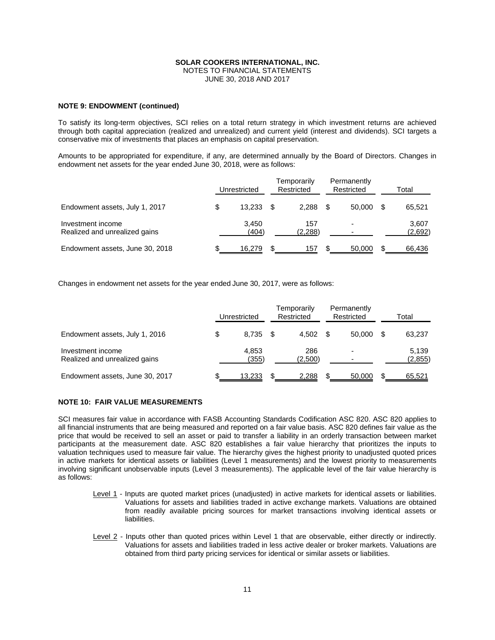## **SOLAR COOKERS INTERNATIONAL, INC.** NOTES TO FINANCIAL STATEMENTS JUNE 30, 2018 AND 2017

## **NOTE 9: ENDOWMENT (continued)**

To satisfy its long-term objectives, SCI relies on a total return strategy in which investment returns are achieved through both capital appreciation (realized and unrealized) and current yield (interest and dividends). SCI targets a conservative mix of investments that places an emphasis on capital preservation.

Amounts to be appropriated for expenditure, if any, are determined annually by the Board of Directors. Changes in endowment net assets for the year ended June 30, 2018, were as follows:

|                                                    | Unrestricted |                |  | Temporarily<br>Restricted |   | Permanently<br>Restricted |  | Total            |  |
|----------------------------------------------------|--------------|----------------|--|---------------------------|---|---------------------------|--|------------------|--|
| Endowment assets, July 1, 2017                     | S            | 13.233         |  | 2.288                     | S | 50,000                    |  | 65.521           |  |
| Investment income<br>Realized and unrealized gains |              | 3.450<br>(404) |  | 157<br>(2, 288)           |   |                           |  | 3,607<br>(2,692) |  |
| Endowment assets, June 30, 2018                    |              | 16,279         |  | 157                       |   | 50,000                    |  | 66,436           |  |

Changes in endowment net assets for the year ended June 30, 2017, were as follows:

|                                                    | Unrestricted |                |  | Temporarily<br>Restricted |  | Permanently<br>Restricted |  | Total            |  |
|----------------------------------------------------|--------------|----------------|--|---------------------------|--|---------------------------|--|------------------|--|
| Endowment assets, July 1, 2016                     | S            | 8.735          |  | 4.502                     |  | 50,000                    |  | 63,237           |  |
| Investment income<br>Realized and unrealized gains |              | 4.853<br>(355) |  | 286<br>(2,500)            |  |                           |  | 5,139<br>(2,855) |  |
| Endowment assets, June 30, 2017                    |              | 13,233         |  | 2,288                     |  | 50,000                    |  | 65,521           |  |

## **NOTE 10: FAIR VALUE MEASUREMENTS**

SCI measures fair value in accordance with FASB Accounting Standards Codification ASC 820. ASC 820 applies to all financial instruments that are being measured and reported on a fair value basis. ASC 820 defines fair value as the price that would be received to sell an asset or paid to transfer a liability in an orderly transaction between market participants at the measurement date. ASC 820 establishes a fair value hierarchy that prioritizes the inputs to valuation techniques used to measure fair value. The hierarchy gives the highest priority to unadjusted quoted prices in active markets for identical assets or liabilities (Level 1 measurements) and the lowest priority to measurements involving significant unobservable inputs (Level 3 measurements). The applicable level of the fair value hierarchy is as follows:

- Level 1 Inputs are quoted market prices (unadjusted) in active markets for identical assets or liabilities. Valuations for assets and liabilities traded in active exchange markets. Valuations are obtained from readily available pricing sources for market transactions involving identical assets or liabilities.
- Level 2 Inputs other than quoted prices within Level 1 that are observable, either directly or indirectly. Valuations for assets and liabilities traded in less active dealer or broker markets. Valuations are obtained from third party pricing services for identical or similar assets or liabilities.